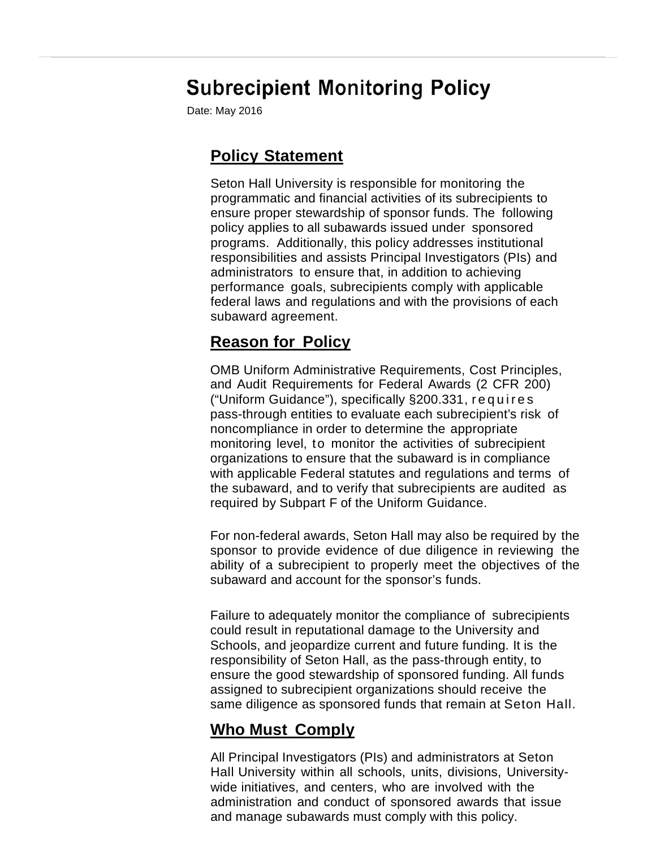# **Subrecipient Monitoring Policy**

Date: May 2016

## **Policy Statement**

Seton Hall University is responsible for monitoring the programmatic and financial activities of its subrecipients to ensure proper stewardship of sponsor funds. The following policy applies to all subawards issued under sponsored programs. Additionally, this policy addresses institutional responsibilities and assists Principal Investigators (PIs) and administrators to ensure that, in addition to achieving performance goals, subrecipients comply with applicable federal laws and regulations and with the provisions of each subaward agreement.

## **Reason for Policy**

OMB Uniform Administrative Requirements, Cost Principles, and Audit Requirements for Federal Awards (2 CFR 200) Reason for Policy<br>
OMB Uniform Administrative Requirements, Cost Principles,<br>
and Audit Requirements for Federal Awards (2 CFR 200)<br>
("Uniform Guidance"), specifically §200.331, r e q u i r e s<br>
pass-through entities to ev noncompliance in order to determine the appropriate monitoring level, to monitor the activities of subrecipient organizations to ensure that the subaward is in compliance with applicable Federal statutes and regulations and terms of the subaward, and to verify that subrecipients are audited as required by Subpart F of the Uniform Guidance.

For non-federal awards, Seton Hall may also be required by the sponsor to provide evidence of due diligence in reviewing the ability of a subrecipient to properly meet the objectives of the subaward and account for the sponsor's funds.

Failure to adequately monitor the compliance of subrecipients could result in reputational damage to the University and Schools, and jeopardize current and future funding. It is the responsibility of Seton Hall, as the pass-through entity, to ensure the good stewardship of sponsored funding. All funds assigned to subrecipient organizations should receive the same diligence as sponsored funds that remain at Seton Hall.

## **Who Must Comply**

All Principal Investigators (PIs) and administrators at Seton Hall University within all schools, units, divisions, University wide initiatives, and centers, who are involved with the administration and conduct of sponsored awards that issue and manage subawards must comply with this policy.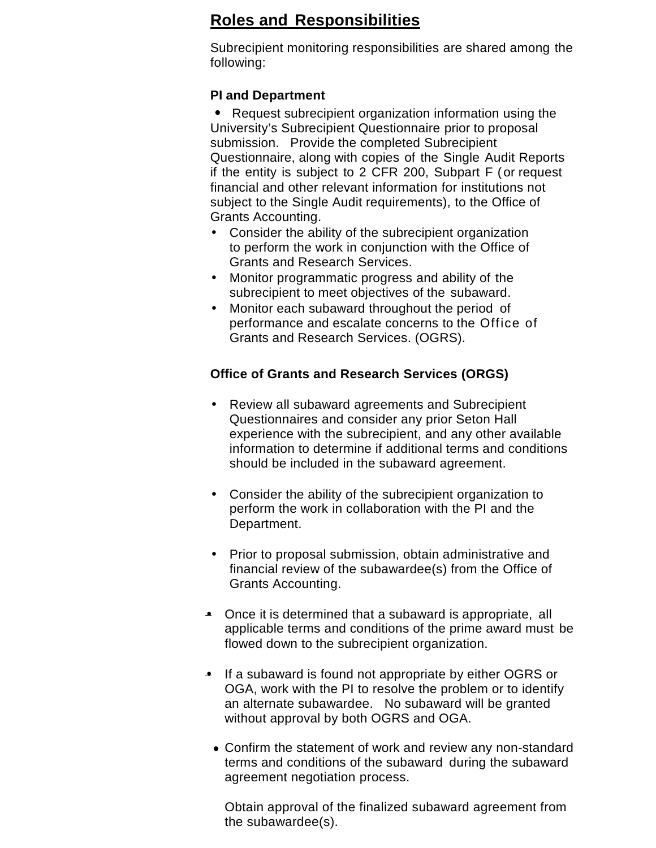## **Roles and Responsibilities**

Subrecipient monitoring responsibilities are shared among the following:

#### **PI and Department**

• Request subrecipient organization information using the University's Subrecipient Questionnaire prior to proposal submission. Provide the completed Subrecipient Questionnaire, along with copies of the Single Audit Reports if the entity is subject to 2 CFR 200, Subpart F (or request financial and other relevant information for institutions not subject to the Single Audit requirements), to the Office of Grants Accounting.

- Consider the ability of the subrecipient organization to perform the work in conjunction with the Office of Grants and Research Services.
- Monitor programmatic progress and ability of the subrecipient to meet objectives of the subaward.
- Monitor each subaward throughout the period of performance and escalate concerns to the Office of Grants and Research Services. (OGRS).

#### **Office of Grants and Research Services (ORGS)**

- Review all subaward agreements and Subrecipient Questionnaires and consider any prior Seton Hall experience with the subrecipient, and any other available information to determine if additional terms and conditions should be included in the subaward agreement.
- Consider the ability of the subrecipient organization to perform the work in collaboration with the PI and the Department.
- Prior to proposal submission, obtain administrative and financial review of the subawardee(s) from the Office of Grants Accounting.
- Once it is determined that a subaward is appropriate, all applicable terms and conditions of the prime award must be flowed down to the subrecipient organization.
- If a subaward is found not appropriate by either OGRS or OGA, work with the PI to resolve the problem or to identify an alternate subawardee. No subaward will be granted without approval by both OGRS and OGA.
	- Confirm the statement of work and review any non-standard terms and conditions of the subaward during the subaward agreement negotiation process.

Obtain approval of the finalized subaward agreement from the subawardee(s).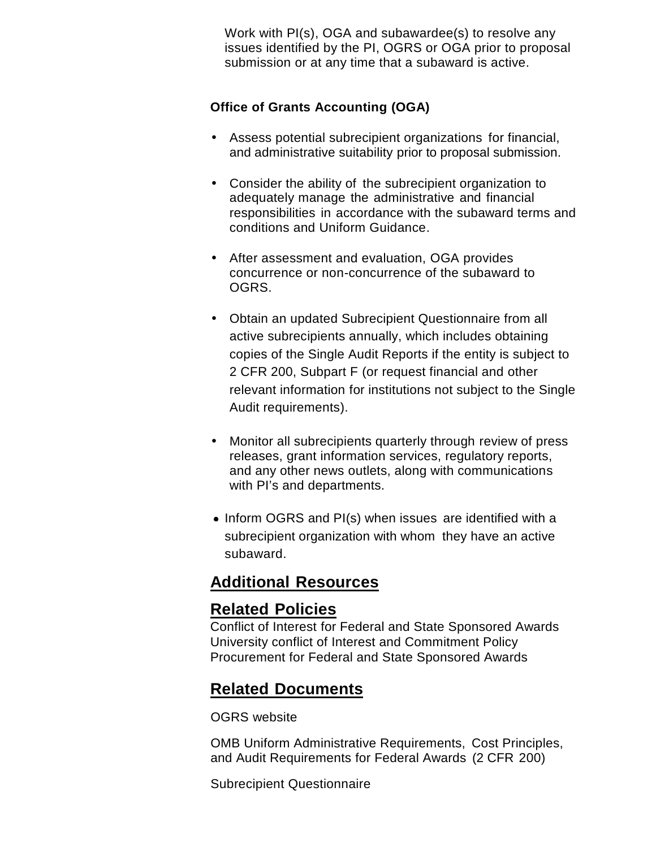Work with PI(s), OGA and subawardee(s) to resolve any issues identified by the PI, OGRS or OGA prior to proposal submission or at any time that a subaward is active.

#### **Office of Grants Accounting (OGA)**

- Assess potential subrecipient organizations for financial, and administrative suitability prior to proposal submission.
- Consider the ability of the subrecipient organization to adequately manage the administrative and financial responsibilities in accordance with the subaward terms and conditions and Uniform Guidance.
- After assessment and evaluation, OGA provides concurrence or non-concurrence of the subaward to OGRS.
- Obtain an updated Subrecipient Questionnaire from all active subrecipients annually, which includes obtaining copies of the Single Audit Reports if the entity is subject to 2 CFR 200, Subpart F (or request financial and other relevant information for institutions not subject to the Single Audit requirements).
- Monitor all subrecipients quarterly through review of press releases, grant information services, regulatory reports, and any other news outlets, along with communications with PI's and departments.
- Inform OGRS and PI(s) when issues are identified with a subrecipient organization with whom they have an active subaward.

## **Additional Resources**

### **Related Policies**

Conflict of Interest for Federal and State Sponsored Awards University conflict of Interest and Commitment Policy Procurement for Federal and State Sponsored Awards

## **Related Documents**

OGRS website

OMB Uniform Administrative Requirements, Cost Principles, and Audit Requirements for Federal Awards (2 CFR 200)

Subrecipient Questionnaire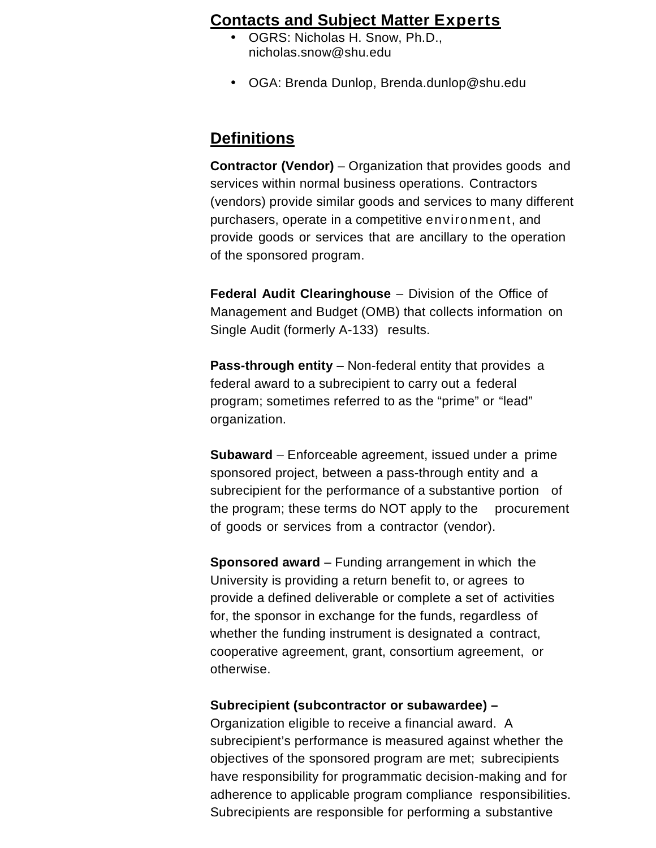### **Contacts and Subject Matter Experts**

- OGRS: Nicholas H. Snow, Ph.D., nicholas.snow@shu.edu
- OGA: Brenda Dunlop, Brenda.dunlop@shu.edu

### **Definitions**

**Contractor (Vendor)** – Organization that provides goods and services within normal business operations. Contractors (vendors) provide similar goods and services to many different purchasers, operate in a competitive environment, and provide goods or services that are ancillary to the operation of the sponsored program.

**Federal Audit Clearinghouse** – Division of the Office of Management and Budget (OMB) that collects information on Single Audit (formerly A-133) results.

**Pass-through entity** – Non-federal entity that provides a federal award to a subrecipient to carry out a federal program; sometimes referred to as the "prime" or "lead" organization.

**Subaward** – Enforceable agreement, issued under a prime sponsored project, between a pass-through entity and a subrecipient for the performance of a substantive portion of the program; these terms do NOT apply to the procurement of goods or services from a contractor (vendor).

**Sponsored award** – Funding arrangement in which the University is providing a return benefit to, or agrees to provide a defined deliverable or complete a set of activities for, the sponsor in exchange for the funds, regardless of whether the funding instrument is designated a contract, cooperative agreement, grant, consortium agreement, or otherwise.

#### **Subrecipient (subcontractor or subawardee) –**

Organization eligible to receive a financial award. A subrecipient's performance is measured against whether the objectives of the sponsored program are met; subrecipients have responsibility for programmatic decision-making and for adherence to applicable program compliance responsibilities. Subrecipients are responsible for performing a substantive